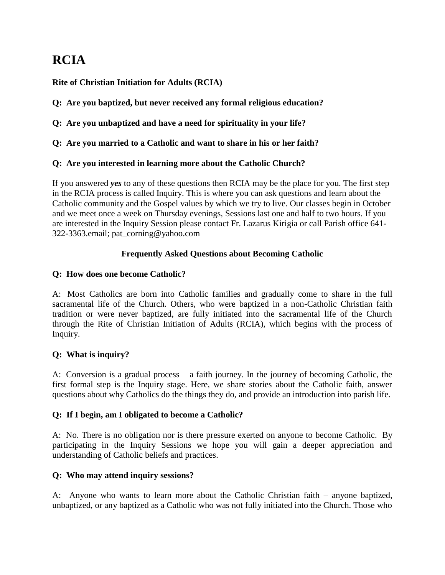# **RCIA**

**Rite of Christian Initiation for Adults (RCIA)**

**Q: Are you baptized, but never received any formal religious education?**

**Q: Are you unbaptized and have a need for spirituality in your life?**

**Q: Are you married to a Catholic and want to share in his or her faith?**

### **Q: Are you interested in learning more about the Catholic Church?**

If you answered *yes* to any of these questions then RCIA may be the place for you. The first step in the RCIA process is called Inquiry. This is where you can ask questions and learn about the Catholic community and the Gospel values by which we try to live. Our classes begin in October and we meet once a week on Thursday evenings, Sessions last one and half to two hours. If you are interested in the Inquiry Session please contact Fr. Lazarus Kirigia or call Parish office 641- 322-3363.email; pat\_corning@yahoo.com

## **Frequently Asked Questions about Becoming Catholic**

### **Q: How does one become Catholic?**

A: Most Catholics are born into Catholic families and gradually come to share in the full sacramental life of the Church. Others, who were baptized in a non-Catholic Christian faith tradition or were never baptized, are fully initiated into the sacramental life of the Church through the Rite of Christian Initiation of Adults (RCIA), which begins with the process of Inquiry.

### **Q: What is inquiry?**

A: Conversion is a gradual process – a faith journey. In the journey of becoming Catholic, the first formal step is the Inquiry stage. Here, we share stories about the Catholic faith, answer questions about why Catholics do the things they do, and provide an introduction into parish life.

### **Q: If I begin, am I obligated to become a Catholic?**

A: No. There is no obligation nor is there pressure exerted on anyone to become Catholic. By participating in the Inquiry Sessions we hope you will gain a deeper appreciation and understanding of Catholic beliefs and practices.

### **Q: Who may attend inquiry sessions?**

A: Anyone who wants to learn more about the Catholic Christian faith – anyone baptized, unbaptized, or any baptized as a Catholic who was not fully initiated into the Church. Those who